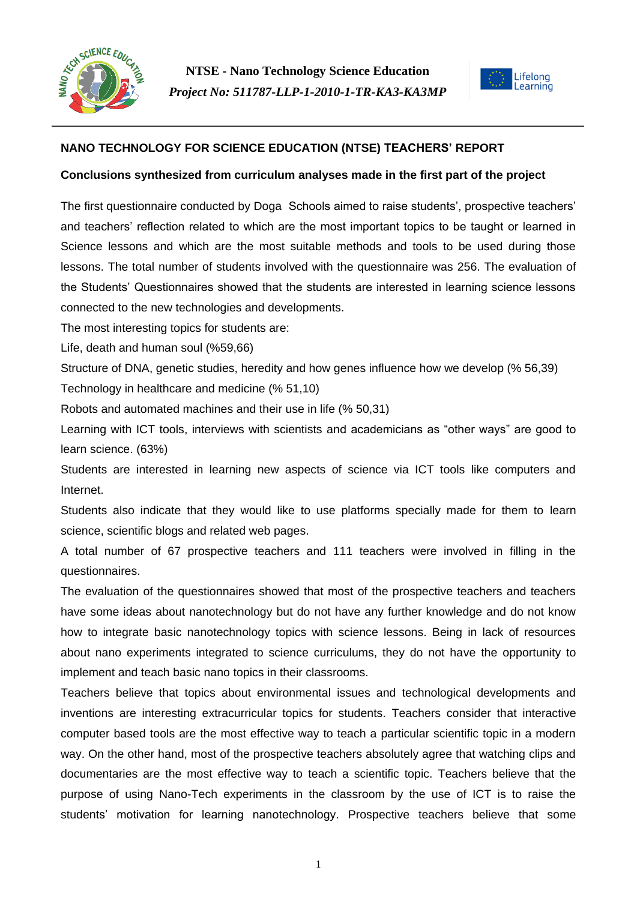



## **NANO TECHNOLOGY FOR SCIENCE EDUCATION (NTSE) TEACHERS' REPORT**

#### **Conclusions synthesized from curriculum analyses made in the first part of the project**

The first questionnaire conducted by Doga Schools aimed to raise students', prospective teachers' and teachers' reflection related to which are the most important topics to be taught or learned in Science lessons and which are the most suitable methods and tools to be used during those lessons. The total number of students involved with the questionnaire was 256. The evaluation of the Students' Questionnaires showed that the students are interested in learning science lessons connected to the new technologies and developments.

The most interesting topics for students are:

Life, death and human soul (%59,66)

Structure of DNA, genetic studies, heredity and how genes influence how we develop (% 56,39)

Technology in healthcare and medicine (% 51,10)

Robots and automated machines and their use in life (% 50,31)

Learning with ICT tools, interviews with scientists and academicians as "other ways" are good to learn science. (63%)

Students are interested in learning new aspects of science via ICT tools like computers and Internet.

Students also indicate that they would like to use platforms specially made for them to learn science, scientific blogs and related web pages.

A total number of 67 prospective teachers and 111 teachers were involved in filling in the questionnaires.

The evaluation of the questionnaires showed that most of the prospective teachers and teachers have some ideas about nanotechnology but do not have any further knowledge and do not know how to integrate basic nanotechnology topics with science lessons. Being in lack of resources about nano experiments integrated to science curriculums, they do not have the opportunity to implement and teach basic nano topics in their classrooms.

Teachers believe that topics about environmental issues and technological developments and inventions are interesting extracurricular topics for students. Teachers consider that interactive computer based tools are the most effective way to teach a particular scientific topic in a modern way. On the other hand, most of the prospective teachers absolutely agree that watching clips and documentaries are the most effective way to teach a scientific topic. Teachers believe that the purpose of using Nano-Tech experiments in the classroom by the use of ICT is to raise the students' motivation for learning nanotechnology. Prospective teachers believe that some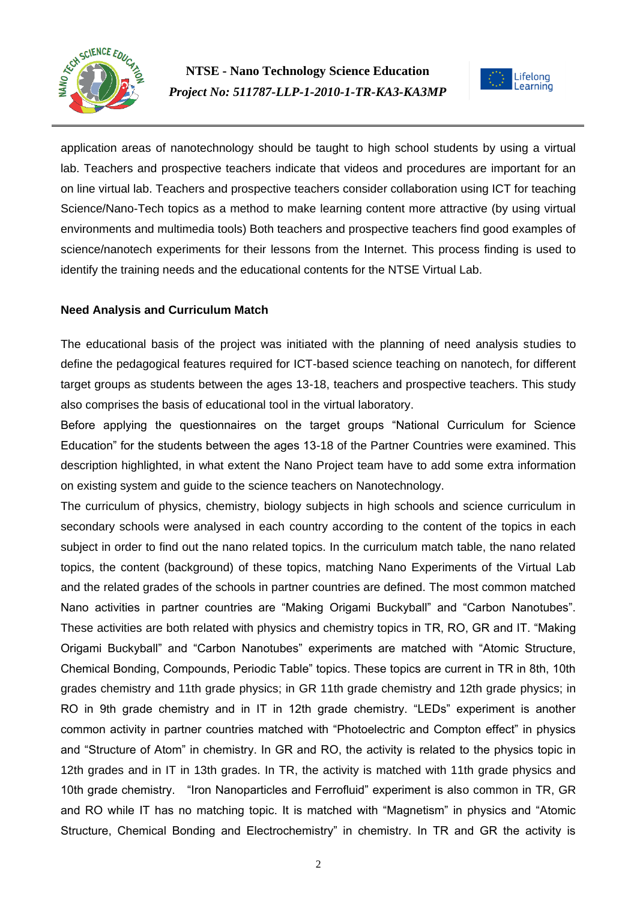



application areas of nanotechnology should be taught to high school students by using a virtual lab. Teachers and prospective teachers indicate that videos and procedures are important for an on line virtual lab. Teachers and prospective teachers consider collaboration using ICT for teaching Science/Nano-Tech topics as a method to make learning content more attractive (by using virtual environments and multimedia tools) Both teachers and prospective teachers find good examples of science/nanotech experiments for their lessons from the Internet. This process finding is used to identify the training needs and the educational contents for the NTSE Virtual Lab.

## **Need Analysis and Curriculum Match**

The educational basis of the project was initiated with the planning of need analysis studies to define the pedagogical features required for ICT-based science teaching on nanotech, for different target groups as students between the ages 13-18, teachers and prospective teachers. This study also comprises the basis of educational tool in the virtual laboratory.

Before applying the questionnaires on the target groups "National Curriculum for Science Education" for the students between the ages 13-18 of the Partner Countries were examined. This description highlighted, in what extent the Nano Project team have to add some extra information on existing system and guide to the science teachers on Nanotechnology.

The curriculum of physics, chemistry, biology subjects in high schools and science curriculum in secondary schools were analysed in each country according to the content of the topics in each subject in order to find out the nano related topics. In the curriculum match table, the nano related topics, the content (background) of these topics, matching Nano Experiments of the Virtual Lab and the related grades of the schools in partner countries are defined. The most common matched Nano activities in partner countries are "Making Origami Buckyball" and "Carbon Nanotubes". These activities are both related with physics and chemistry topics in TR, RO, GR and IT. "Making Origami Buckyball" and "Carbon Nanotubes" experiments are matched with "Atomic Structure, Chemical Bonding, Compounds, Periodic Table" topics. These topics are current in TR in 8th, 10th grades chemistry and 11th grade physics; in GR 11th grade chemistry and 12th grade physics; in RO in 9th grade chemistry and in IT in 12th grade chemistry. "LEDs" experiment is another common activity in partner countries matched with "Photoelectric and Compton effect" in physics and "Structure of Atom" in chemistry. In GR and RO, the activity is related to the physics topic in 12th grades and in IT in 13th grades. In TR, the activity is matched with 11th grade physics and 10th grade chemistry. "Iron Nanoparticles and Ferrofluid" experiment is also common in TR, GR and RO while IT has no matching topic. It is matched with "Magnetism" in physics and "Atomic Structure, Chemical Bonding and Electrochemistry" in chemistry. In TR and GR the activity is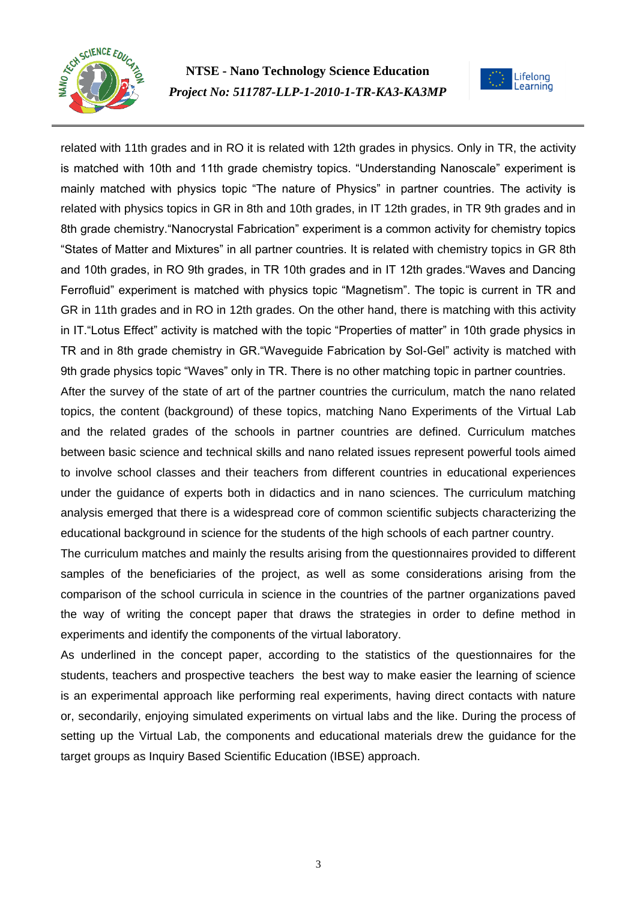



related with 11th grades and in RO it is related with 12th grades in physics. Only in TR, the activity is matched with 10th and 11th grade chemistry topics. "Understanding Nanoscale" experiment is mainly matched with physics topic "The nature of Physics" in partner countries. The activity is related with physics topics in GR in 8th and 10th grades, in IT 12th grades, in TR 9th grades and in 8th grade chemistry. "Nanocrystal Fabrication" experiment is a common activity for chemistry topics "States of Matter and Mixtures" in all partner countries. It is related with chemistry topics in GR 8th and 10th grades, in RO 9th grades, in TR 10th grades and in IT 12th grades."Waves and Dancing Ferrofluid" experiment is matched with physics topic "Magnetism". The topic is current in TR and GR in 11th grades and in RO in 12th grades. On the other hand, there is matching with this activity in IT."Lotus Effect" activity is matched with the topic "Properties of matter" in 10th grade physics in TR and in 8th grade chemistry in GR."Waveguide Fabrication by Sol-Gel" activity is matched with 9th grade physics topic "Waves" only in TR. There is no other matching topic in partner countries.

After the survey of the state of art of the partner countries the curriculum, match the nano related topics, the content (background) of these topics, matching Nano Experiments of the Virtual Lab and the related grades of the schools in partner countries are defined. Curriculum matches between basic science and technical skills and nano related issues represent powerful tools aimed to involve school classes and their teachers from different countries in educational experiences under the guidance of experts both in didactics and in nano sciences. The curriculum matching analysis emerged that there is a widespread core of common scientific subjects characterizing the educational background in science for the students of the high schools of each partner country.

The curriculum matches and mainly the results arising from the questionnaires provided to different samples of the beneficiaries of the project, as well as some considerations arising from the comparison of the school curricula in science in the countries of the partner organizations paved the way of writing the concept paper that draws the strategies in order to define method in experiments and identify the components of the virtual laboratory.

As underlined in the concept paper, according to the statistics of the questionnaires for the students, teachers and prospective teachers the best way to make easier the learning of science is an experimental approach like performing real experiments, having direct contacts with nature or, secondarily, enjoying simulated experiments on virtual labs and the like. During the process of setting up the Virtual Lab, the components and educational materials drew the guidance for the target groups as Inquiry Based Scientific Education (IBSE) approach.

3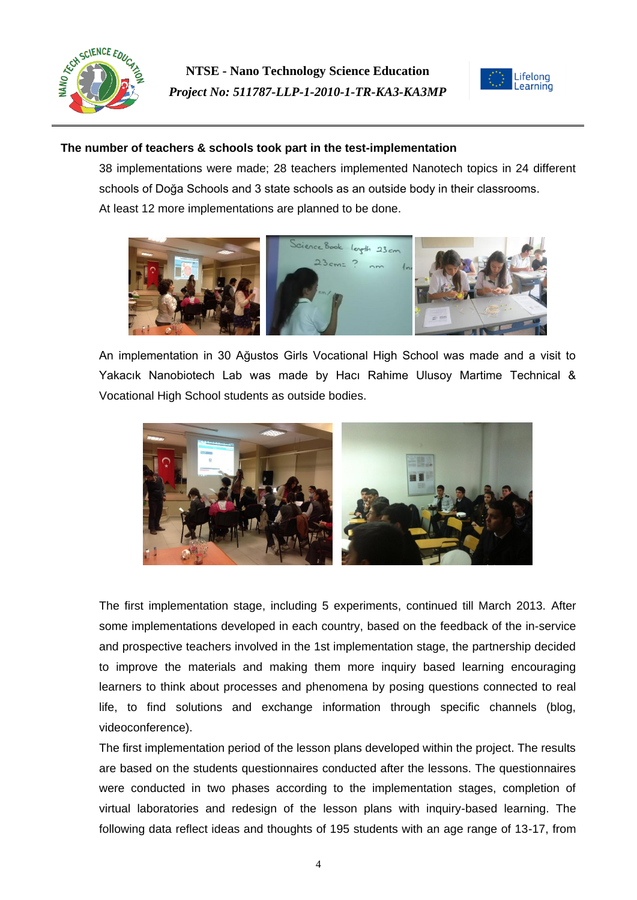



## **The number of teachers & schools took part in the test-implementation**

38 implementations were made; 28 teachers implemented Nanotech topics in 24 different schools of Doğa Schools and 3 state schools as an outside body in their classrooms. At least 12 more implementations are planned to be done.



An implementation in 30 Ağustos Girls Vocational High School was made and a visit to Yakacık Nanobiotech Lab was made by Hacı Rahime Ulusoy Martime Technical & Vocational High School students as outside bodies.



The first implementation stage, including 5 experiments, continued till March 2013. After some implementations developed in each country, based on the feedback of the in-service and prospective teachers involved in the 1st implementation stage, the partnership decided to improve the materials and making them more inquiry based learning encouraging learners to think about processes and phenomena by posing questions connected to real life, to find solutions and exchange information through specific channels (blog, videoconference).

The first implementation period of the lesson plans developed within the project. The results are based on the students questionnaires conducted after the lessons. The questionnaires were conducted in two phases according to the implementation stages, completion of virtual laboratories and redesign of the lesson plans with inquiry-based learning. The following data reflect ideas and thoughts of 195 students with an age range of 13-17, from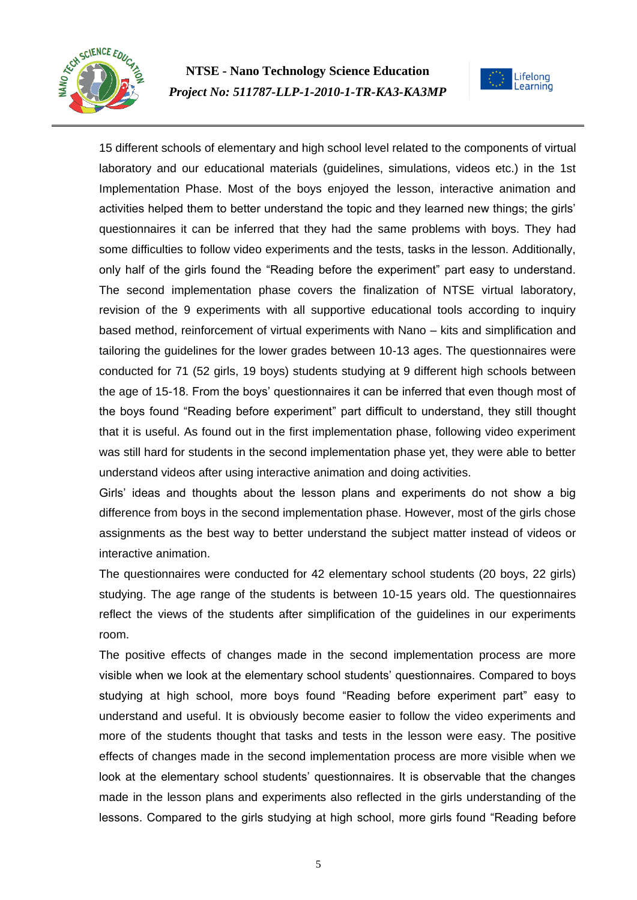



15 different schools of elementary and high school level related to the components of virtual laboratory and our educational materials (guidelines, simulations, videos etc.) in the 1st Implementation Phase. Most of the boys enjoyed the lesson, interactive animation and activities helped them to better understand the topic and they learned new things; the girls' questionnaires it can be inferred that they had the same problems with boys. They had some difficulties to follow video experiments and the tests, tasks in the lesson. Additionally, only half of the girls found the "Reading before the experiment" part easy to understand. The second implementation phase covers the finalization of NTSE virtual laboratory, revision of the 9 experiments with all supportive educational tools according to inquiry based method, reinforcement of virtual experiments with Nano – kits and simplification and tailoring the guidelines for the lower grades between 10-13 ages. The questionnaires were conducted for 71 (52 girls, 19 boys) students studying at 9 different high schools between the age of 15-18. From the boys' questionnaires it can be inferred that even though most of the boys found "Reading before experiment" part difficult to understand, they still thought that it is useful. As found out in the first implementation phase, following video experiment was still hard for students in the second implementation phase yet, they were able to better understand videos after using interactive animation and doing activities.

Girls' ideas and thoughts about the lesson plans and experiments do not show a big difference from boys in the second implementation phase. However, most of the girls chose assignments as the best way to better understand the subject matter instead of videos or interactive animation.

The questionnaires were conducted for 42 elementary school students (20 boys, 22 girls) studying. The age range of the students is between 10-15 years old. The questionnaires reflect the views of the students after simplification of the guidelines in our experiments room.

The positive effects of changes made in the second implementation process are more visible when we look at the elementary school students' questionnaires. Compared to boys studying at high school, more boys found "Reading before experiment part" easy to understand and useful. It is obviously become easier to follow the video experiments and more of the students thought that tasks and tests in the lesson were easy. The positive effects of changes made in the second implementation process are more visible when we look at the elementary school students' questionnaires. It is observable that the changes made in the lesson plans and experiments also reflected in the girls understanding of the lessons. Compared to the girls studying at high school, more girls found "Reading before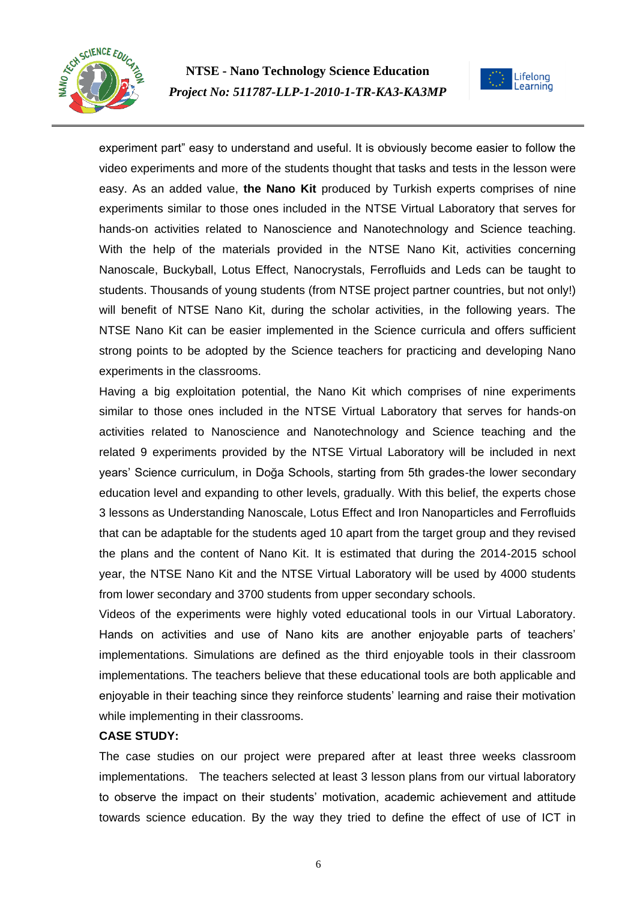



experiment part" easy to understand and useful. It is obviously become easier to follow the video experiments and more of the students thought that tasks and tests in the lesson were easy. As an added value, **the Nano Kit** produced by Turkish experts comprises of nine experiments similar to those ones included in the NTSE Virtual Laboratory that serves for hands-on activities related to Nanoscience and Nanotechnology and Science teaching. With the help of the materials provided in the NTSE Nano Kit, activities concerning Nanoscale, Buckyball, Lotus Effect, Nanocrystals, Ferrofluids and Leds can be taught to students. Thousands of young students (from NTSE project partner countries, but not only!) will benefit of NTSE Nano Kit, during the scholar activities, in the following years. The NTSE Nano Kit can be easier implemented in the Science curricula and offers sufficient strong points to be adopted by the Science teachers for practicing and developing Nano experiments in the classrooms.

Having a big exploitation potential, the Nano Kit which comprises of nine experiments similar to those ones included in the NTSE Virtual Laboratory that serves for hands-on activities related to Nanoscience and Nanotechnology and Science teaching and the related 9 experiments provided by the NTSE Virtual Laboratory will be included in next years' Science curriculum, in Doğa Schools, starting from 5th grades-the lower secondary education level and expanding to other levels, gradually. With this belief, the experts chose 3 lessons as Understanding Nanoscale, Lotus Effect and Iron Nanoparticles and Ferrofluids that can be adaptable for the students aged 10 apart from the target group and they revised the plans and the content of Nano Kit. It is estimated that during the 2014-2015 school year, the NTSE Nano Kit and the NTSE Virtual Laboratory will be used by 4000 students from lower secondary and 3700 students from upper secondary schools.

Videos of the experiments were highly voted educational tools in our Virtual Laboratory. Hands on activities and use of Nano kits are another enjoyable parts of teachers' implementations. Simulations are defined as the third enjoyable tools in their classroom implementations. The teachers believe that these educational tools are both applicable and enjoyable in their teaching since they reinforce students' learning and raise their motivation while implementing in their classrooms.

#### **CASE STUDY:**

The case studies on our project were prepared after at least three weeks classroom implementations. The teachers selected at least 3 lesson plans from our virtual laboratory to observe the impact on their students' motivation, academic achievement and attitude towards science education. By the way they tried to define the effect of use of ICT in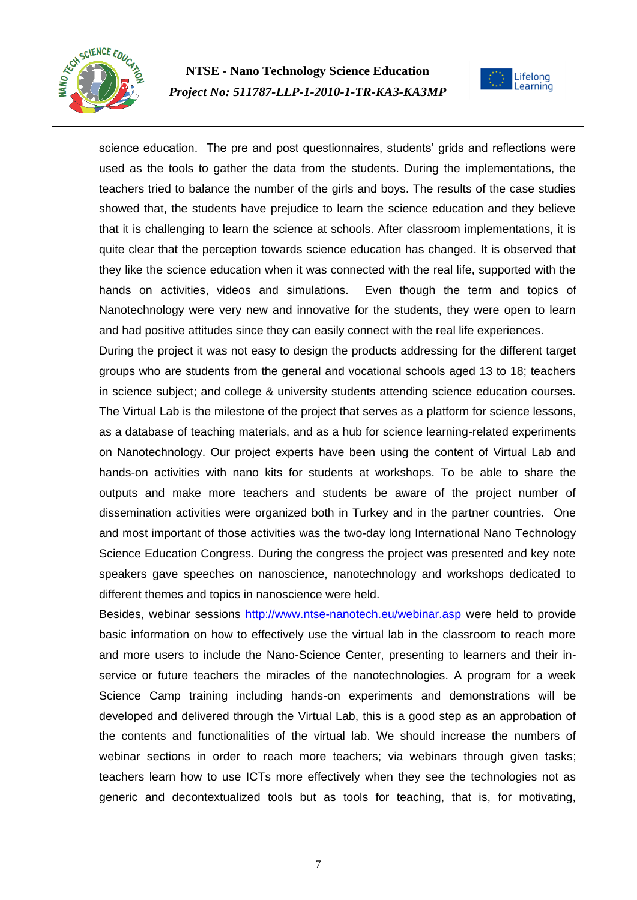



science education. The pre and post questionnaires, students' grids and reflections were used as the tools to gather the data from the students. During the implementations, the teachers tried to balance the number of the girls and boys. The results of the case studies showed that, the students have prejudice to learn the science education and they believe that it is challenging to learn the science at schools. After classroom implementations, it is quite clear that the perception towards science education has changed. It is observed that they like the science education when it was connected with the real life, supported with the hands on activities, videos and simulations. Even though the term and topics of Nanotechnology were very new and innovative for the students, they were open to learn and had positive attitudes since they can easily connect with the real life experiences.

During the project it was not easy to design the products addressing for the different target groups who are students from the general and vocational schools aged 13 to 18; teachers in science subject; and college & university students attending science education courses. The Virtual Lab is the milestone of the project that serves as a platform for science lessons, as a database of teaching materials, and as a hub for science learning-related experiments on Nanotechnology. Our project experts have been using the content of Virtual Lab and hands-on activities with nano kits for students at workshops. To be able to share the outputs and make more teachers and students be aware of the project number of dissemination activities were organized both in Turkey and in the partner countries. One and most important of those activities was the two-day long International Nano Technology Science Education Congress. During the congress the project was presented and key note speakers gave speeches on nanoscience, nanotechnology and workshops dedicated to different themes and topics in nanoscience were held.

Besides, webinar sessions<http://www.ntse-nanotech.eu/webinar.asp> were held to provide basic information on how to effectively use the virtual lab in the classroom to reach more and more users to include the Nano-Science Center, presenting to learners and their inservice or future teachers the miracles of the nanotechnologies. A program for a week Science Camp training including hands-on experiments and demonstrations will be developed and delivered through the Virtual Lab, this is a good step as an approbation of the contents and functionalities of the virtual lab. We should increase the numbers of webinar sections in order to reach more teachers; via webinars through given tasks; teachers learn how to use ICTs more effectively when they see the technologies not as generic and decontextualized tools but as tools for teaching, that is, for motivating,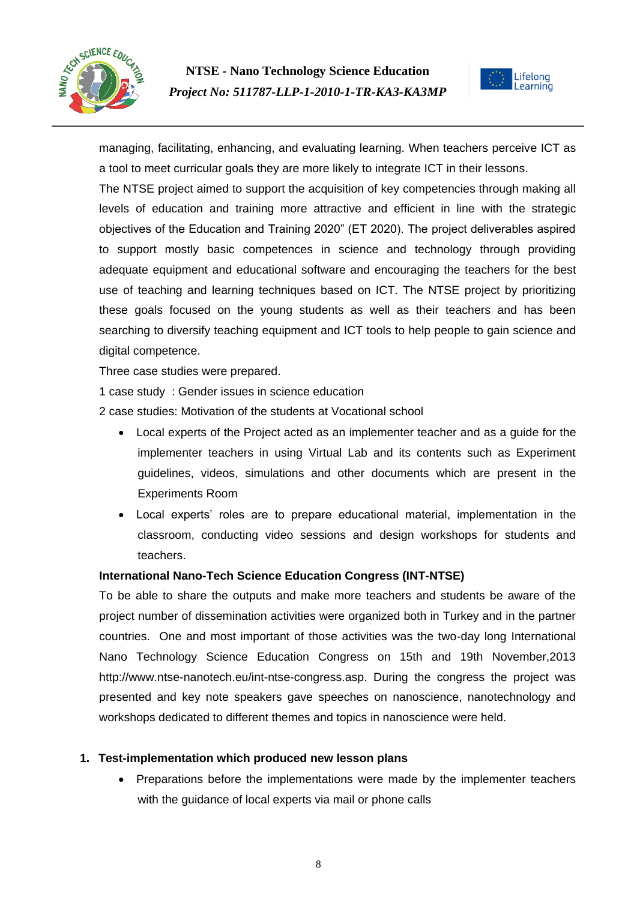



managing, facilitating, enhancing, and evaluating learning. When teachers perceive ICT as a tool to meet curricular goals they are more likely to integrate ICT in their lessons.

The NTSE project aimed to support the acquisition of key competencies through making all levels of education and training more attractive and efficient in line with the strategic objectives of the Education and Training 2020" (ET 2020). The project deliverables aspired to support mostly basic competences in science and technology through providing adequate equipment and educational software and encouraging the teachers for the best use of teaching and learning techniques based on ICT. The NTSE project by prioritizing these goals focused on the young students as well as their teachers and has been searching to diversify teaching equipment and ICT tools to help people to gain science and digital competence.

Three case studies were prepared.

1 case study : Gender issues in science education

2 case studies: Motivation of the students at Vocational school

- Local experts of the Project acted as an implementer teacher and as a guide for the implementer teachers in using Virtual Lab and its contents such as Experiment guidelines, videos, simulations and other documents which are present in the Experiments Room
- Local experts' roles are to prepare educational material, implementation in the classroom, conducting video sessions and design workshops for students and teachers.

#### **International Nano-Tech Science Education Congress (INT-NTSE)**

To be able to share the outputs and make more teachers and students be aware of the project number of dissemination activities were organized both in Turkey and in the partner countries. One and most important of those activities was the two-day long International Nano Technology Science Education Congress on 15th and 19th November,2013 http://www.ntse-nanotech.eu/int-ntse-congress.asp. During the congress the project was presented and key note speakers gave speeches on nanoscience, nanotechnology and workshops dedicated to different themes and topics in nanoscience were held.

#### **1. Test-implementation which produced new lesson plans**

 Preparations before the implementations were made by the implementer teachers with the guidance of local experts via mail or phone calls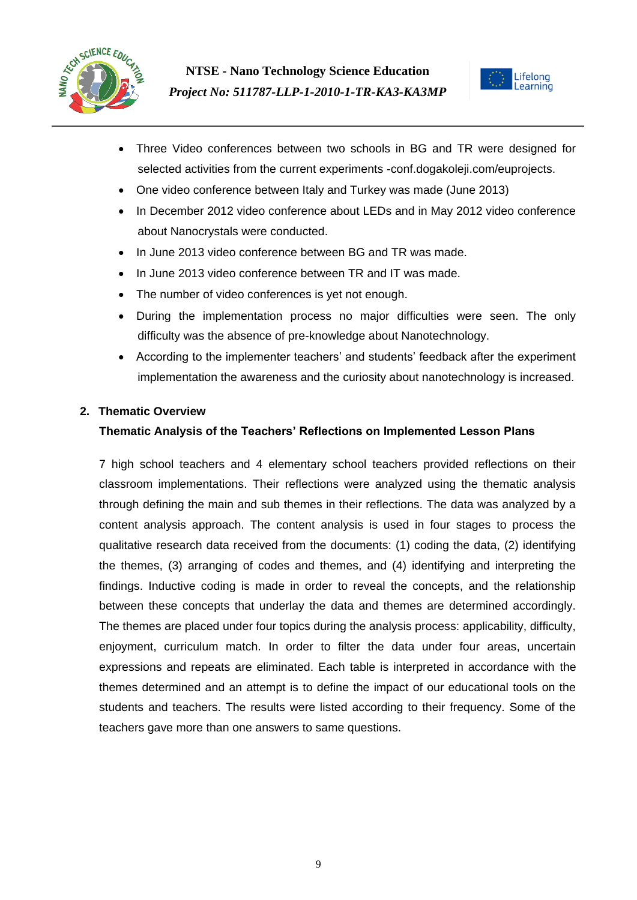



- Three Video conferences between two schools in BG and TR were designed for selected activities from the current experiments -conf.dogakoleji.com/euprojects.
- One video conference between Italy and Turkey was made (June 2013)
- In December 2012 video conference about LEDs and in May 2012 video conference about Nanocrystals were conducted.
- In June 2013 video conference between BG and TR was made.
- In June 2013 video conference between TR and IT was made.
- The number of video conferences is yet not enough.
- During the implementation process no major difficulties were seen. The only difficulty was the absence of pre-knowledge about Nanotechnology.
- According to the implementer teachers' and students' feedback after the experiment implementation the awareness and the curiosity about nanotechnology is increased.

## **2. Thematic Overview**

## **Thematic Analysis of the Teachers' Reflections on Implemented Lesson Plans**

7 high school teachers and 4 elementary school teachers provided reflections on their classroom implementations. Their reflections were analyzed using the thematic analysis through defining the main and sub themes in their reflections. The data was analyzed by a content analysis approach. The content analysis is used in four stages to process the qualitative research data received from the documents: (1) coding the data, (2) identifying the themes, (3) arranging of codes and themes, and (4) identifying and interpreting the findings. Inductive coding is made in order to reveal the concepts, and the relationship between these concepts that underlay the data and themes are determined accordingly. The themes are placed under four topics during the analysis process: applicability, difficulty, enjoyment, curriculum match. In order to filter the data under four areas, uncertain expressions and repeats are eliminated. Each table is interpreted in accordance with the themes determined and an attempt is to define the impact of our educational tools on the students and teachers. The results were listed according to their frequency. Some of the teachers gave more than one answers to same questions.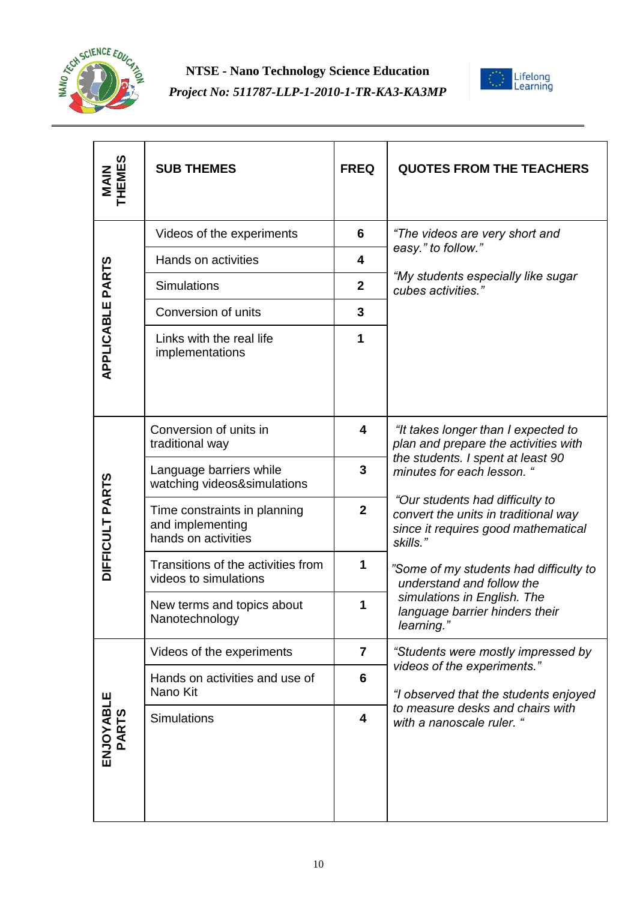



| <b>MAIN<br/>THEMES</b> | <b>SUB THEMES</b>                                                       | <b>FREQ</b>             | <b>QUOTES FROM THE TEACHERS</b>                                                                                                                                                                                                                                              |
|------------------------|-------------------------------------------------------------------------|-------------------------|------------------------------------------------------------------------------------------------------------------------------------------------------------------------------------------------------------------------------------------------------------------------------|
| APPLICABLE PARTS       | Videos of the experiments                                               | 6                       | "The videos are very short and<br>easy." to follow."<br>"My students especially like sugar<br>cubes activities."                                                                                                                                                             |
|                        | Hands on activities                                                     | $\overline{\mathbf{4}}$ |                                                                                                                                                                                                                                                                              |
|                        | Simulations                                                             | $\mathbf{2}$            |                                                                                                                                                                                                                                                                              |
|                        | Conversion of units                                                     | $\mathbf{3}$            |                                                                                                                                                                                                                                                                              |
|                        | Links with the real life<br>implementations                             | 1                       |                                                                                                                                                                                                                                                                              |
| DIFFICULT PARTS        | Conversion of units in<br>traditional way                               | 4                       | "It takes longer than I expected to<br>plan and prepare the activities with<br>the students. I spent at least 90<br>minutes for each lesson. "<br>"Our students had difficulty to<br>convert the units in traditional way<br>since it requires good mathematical<br>skills." |
|                        | Language barriers while<br>watching videos&simulations                  | 3                       |                                                                                                                                                                                                                                                                              |
|                        | Time constraints in planning<br>and implementing<br>hands on activities | $\mathbf{2}$            |                                                                                                                                                                                                                                                                              |
|                        | Transitions of the activities from<br>videos to simulations             | 1                       | "Some of my students had difficulty to<br>understand and follow the<br>simulations in English. The<br>language barrier hinders their<br>learning."                                                                                                                           |
|                        | New terms and topics about<br>Nanotechnology                            | 1                       |                                                                                                                                                                                                                                                                              |
| ENJOYABLE<br>PARTS     | Videos of the experiments                                               | $\overline{7}$          | "Students were mostly impressed by<br>videos of the experiments."<br>"I observed that the students enjoyed<br>to measure desks and chairs with<br>with a nanoscale ruler. "                                                                                                  |
|                        | Hands on activities and use of<br>Nano Kit                              | $6\phantom{1}6$         |                                                                                                                                                                                                                                                                              |
|                        | <b>Simulations</b>                                                      | $\overline{\mathbf{4}}$ |                                                                                                                                                                                                                                                                              |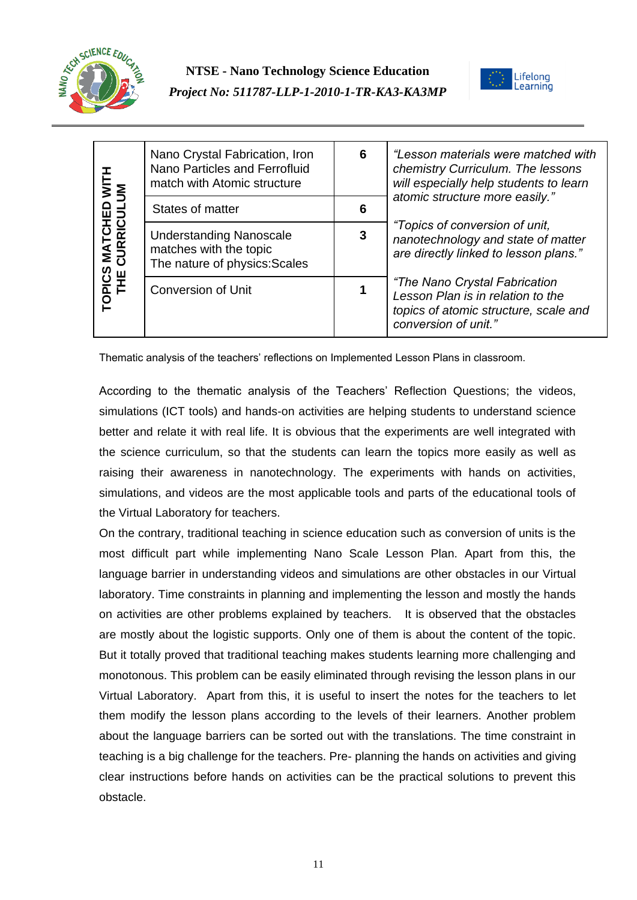



| TOPICS MATCHED WITH<br>THE CURRICULUM | Nano Crystal Fabrication, Iron<br>Nano Particles and Ferrofluid<br>match with Atomic structure | 6 | "Lesson materials were matched with<br>chemistry Curriculum. The lessons<br>will especially help students to learn<br>atomic structure more easily."<br>"Topics of conversion of unit,<br>nanotechnology and state of matter<br>are directly linked to lesson plans."<br>"The Nano Crystal Fabrication<br>Lesson Plan is in relation to the<br>topics of atomic structure, scale and<br>conversion of unit." |
|---------------------------------------|------------------------------------------------------------------------------------------------|---|--------------------------------------------------------------------------------------------------------------------------------------------------------------------------------------------------------------------------------------------------------------------------------------------------------------------------------------------------------------------------------------------------------------|
|                                       | States of matter                                                                               | 6 |                                                                                                                                                                                                                                                                                                                                                                                                              |
|                                       | <b>Understanding Nanoscale</b><br>matches with the topic<br>The nature of physics: Scales      | 3 |                                                                                                                                                                                                                                                                                                                                                                                                              |
|                                       | <b>Conversion of Unit</b>                                                                      |   |                                                                                                                                                                                                                                                                                                                                                                                                              |

Thematic analysis of the teachers' reflections on Implemented Lesson Plans in classroom.

According to the thematic analysis of the Teachers' Reflection Questions; the videos, simulations (ICT tools) and hands-on activities are helping students to understand science better and relate it with real life. It is obvious that the experiments are well integrated with the science curriculum, so that the students can learn the topics more easily as well as raising their awareness in nanotechnology. The experiments with hands on activities, simulations, and videos are the most applicable tools and parts of the educational tools of the Virtual Laboratory for teachers.

On the contrary, traditional teaching in science education such as conversion of units is the most difficult part while implementing Nano Scale Lesson Plan. Apart from this, the language barrier in understanding videos and simulations are other obstacles in our Virtual laboratory. Time constraints in planning and implementing the lesson and mostly the hands on activities are other problems explained by teachers. It is observed that the obstacles are mostly about the logistic supports. Only one of them is about the content of the topic. But it totally proved that traditional teaching makes students learning more challenging and monotonous. This problem can be easily eliminated through revising the lesson plans in our Virtual Laboratory. Apart from this, it is useful to insert the notes for the teachers to let them modify the lesson plans according to the levels of their learners. Another problem about the language barriers can be sorted out with the translations. The time constraint in teaching is a big challenge for the teachers. Pre- planning the hands on activities and giving clear instructions before hands on activities can be the practical solutions to prevent this obstacle.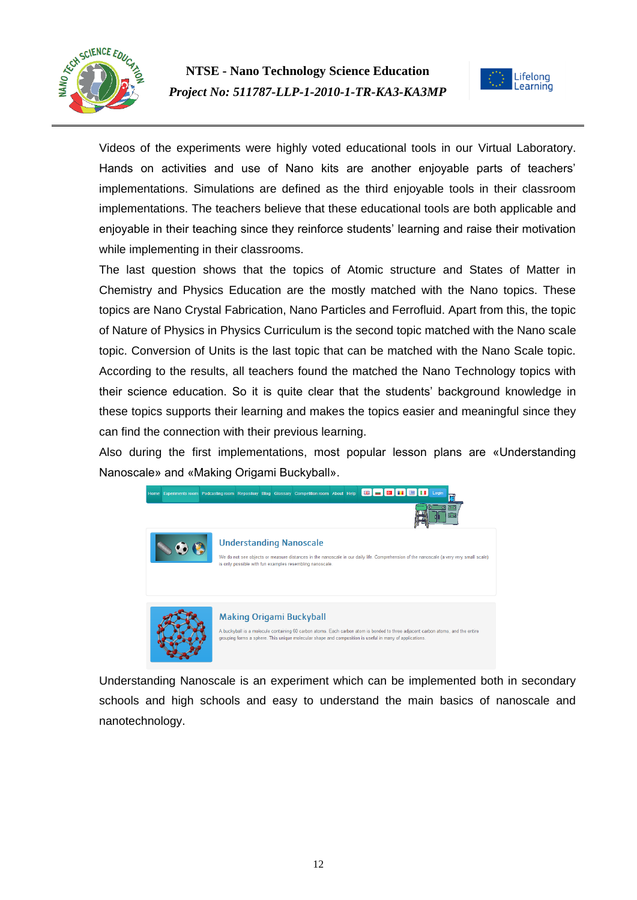



Videos of the experiments were highly voted educational tools in our Virtual Laboratory. Hands on activities and use of Nano kits are another enjoyable parts of teachers' implementations. Simulations are defined as the third enjoyable tools in their classroom implementations. The teachers believe that these educational tools are both applicable and enjoyable in their teaching since they reinforce students' learning and raise their motivation while implementing in their classrooms.

The last question shows that the topics of Atomic structure and States of Matter in Chemistry and Physics Education are the mostly matched with the Nano topics. These topics are Nano Crystal Fabrication, Nano Particles and Ferrofluid. Apart from this, the topic of Nature of Physics in Physics Curriculum is the second topic matched with the Nano scale topic. Conversion of Units is the last topic that can be matched with the Nano Scale topic. According to the results, all teachers found the matched the Nano Technology topics with their science education. So it is quite clear that the students' background knowledge in these topics supports their learning and makes the topics easier and meaningful since they can find the connection with their previous learning.

Also during the first implementations, most popular lesson plans are «Understanding Nanoscale» and «Making Origami Buckyball».



Understanding Nanoscale is an experiment which can be implemented both in secondary schools and high schools and easy to understand the main basics of nanoscale and nanotechnology.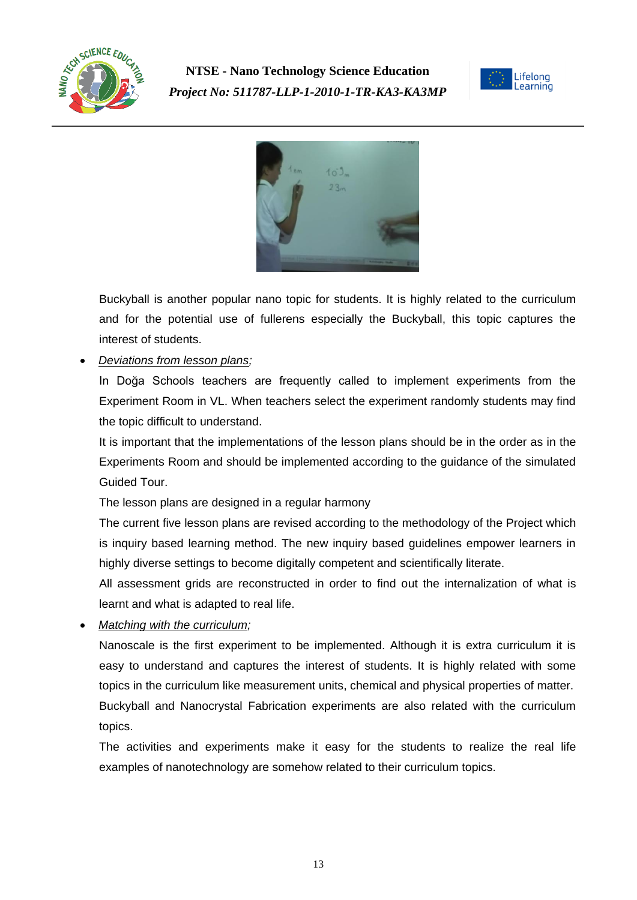





Buckyball is another popular nano topic for students. It is highly related to the curriculum and for the potential use of fullerens especially the Buckyball, this topic captures the interest of students.

*Deviations from lesson plans;*

In Doğa Schools teachers are frequently called to implement experiments from the Experiment Room in VL. When teachers select the experiment randomly students may find the topic difficult to understand.

It is important that the implementations of the lesson plans should be in the order as in the Experiments Room and should be implemented according to the guidance of the simulated Guided Tour.

The lesson plans are designed in a regular harmony

The current five lesson plans are revised according to the methodology of the Project which is inquiry based learning method. The new inquiry based guidelines empower learners in highly diverse settings to become digitally competent and scientifically literate.

All assessment grids are reconstructed in order to find out the internalization of what is learnt and what is adapted to real life.

*Matching with the curriculum;*

Nanoscale is the first experiment to be implemented. Although it is extra curriculum it is easy to understand and captures the interest of students. It is highly related with some topics in the curriculum like measurement units, chemical and physical properties of matter. Buckyball and Nanocrystal Fabrication experiments are also related with the curriculum topics.

The activities and experiments make it easy for the students to realize the real life examples of nanotechnology are somehow related to their curriculum topics.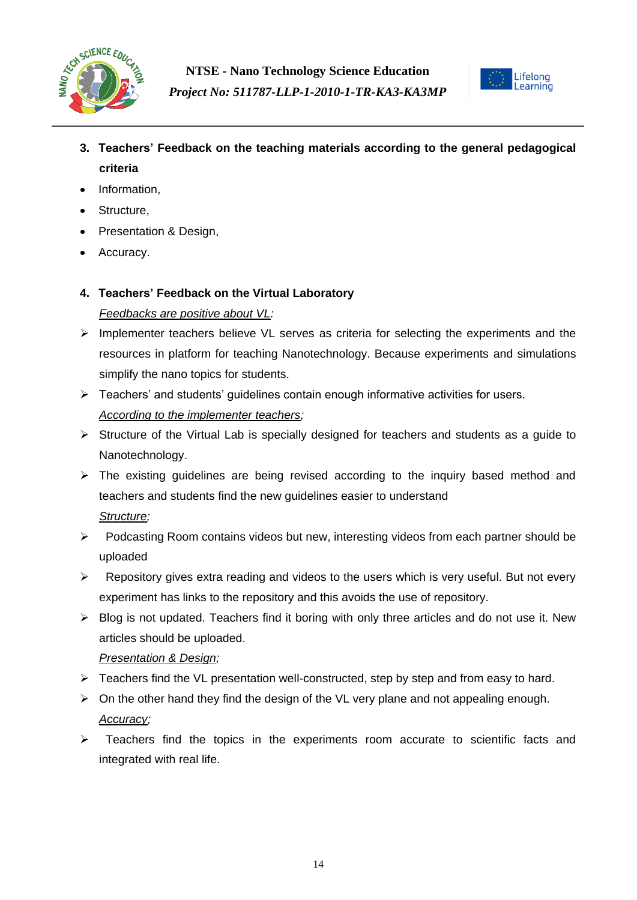



- **3. Teachers' Feedback on the teaching materials according to the general pedagogical criteria**
- Information.
- Structure,
- Presentation & Design,
- Accuracy.

# **4. Teachers' Feedback on the Virtual Laboratory** *Feedbacks are positive about VL:*

- $\triangleright$  Implementer teachers believe VL serves as criteria for selecting the experiments and the resources in platform for teaching Nanotechnology. Because experiments and simulations simplify the nano topics for students.
- $\triangleright$  Teachers' and students' guidelines contain enough informative activities for users. *According to the implementer teachers;*
- $\triangleright$  Structure of the Virtual Lab is specially designed for teachers and students as a quide to Nanotechnology.
- $\triangleright$  The existing guidelines are being revised according to the inquiry based method and teachers and students find the new guidelines easier to understand *Structure;*
- $\triangleright$  Podcasting Room contains videos but new, interesting videos from each partner should be uploaded
- $\triangleright$  Repository gives extra reading and videos to the users which is very useful. But not every experiment has links to the repository and this avoids the use of repository.
- $\triangleright$  Blog is not updated. Teachers find it boring with only three articles and do not use it. New articles should be uploaded.

## *Presentation & Design;*

- $\triangleright$  Teachers find the VL presentation well-constructed, step by step and from easy to hard.
- $\triangleright$  On the other hand they find the design of the VL very plane and not appealing enough. *Accuracy;*
- $\triangleright$  Teachers find the topics in the experiments room accurate to scientific facts and integrated with real life.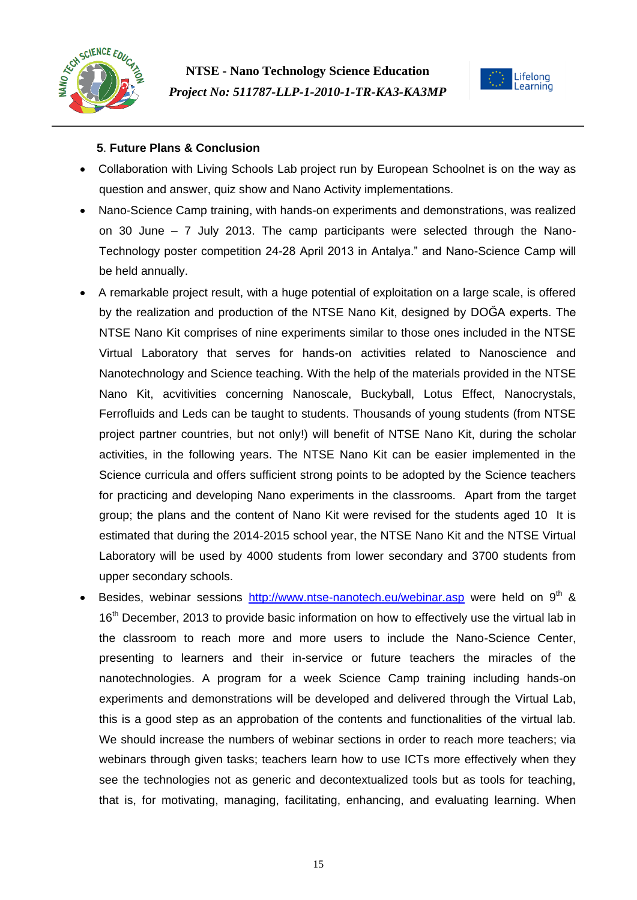



## **5**. **Future Plans & Conclusion**

- Collaboration with Living Schools Lab project run by European Schoolnet is on the way as question and answer, quiz show and Nano Activity implementations.
- Nano-Science Camp training, with hands-on experiments and demonstrations, was realized on 30 June – 7 July 2013. The camp participants were selected through the Nano-Technology poster competition 24-28 April 2013 in Antalya." and Nano-Science Camp will be held annually.
- A remarkable project result, with a huge potential of exploitation on a large scale, is offered by the realization and production of the NTSE Nano Kit, designed by DOĞA experts. The NTSE Nano Kit comprises of nine experiments similar to those ones included in the NTSE Virtual Laboratory that serves for hands-on activities related to Nanoscience and Nanotechnology and Science teaching. With the help of the materials provided in the NTSE Nano Kit, acvitivities concerning Nanoscale, Buckyball, Lotus Effect, Nanocrystals, Ferrofluids and Leds can be taught to students. Thousands of young students (from NTSE project partner countries, but not only!) will benefit of NTSE Nano Kit, during the scholar activities, in the following years. The NTSE Nano Kit can be easier implemented in the Science curricula and offers sufficient strong points to be adopted by the Science teachers for practicing and developing Nano experiments in the classrooms. Apart from the target group; the plans and the content of Nano Kit were revised for the students aged 10 It is estimated that during the 2014-2015 school year, the NTSE Nano Kit and the NTSE Virtual Laboratory will be used by 4000 students from lower secondary and 3700 students from upper secondary schools.
- Besides, webinar sessions <http://www.ntse-nanotech.eu/webinar.asp> were held on  $9<sup>th</sup>$  & 16<sup>th</sup> December, 2013 to provide basic information on how to effectively use the virtual lab in the classroom to reach more and more users to include the Nano-Science Center, presenting to learners and their in-service or future teachers the miracles of the nanotechnologies. A program for a week Science Camp training including hands-on experiments and demonstrations will be developed and delivered through the Virtual Lab, this is a good step as an approbation of the contents and functionalities of the virtual lab. We should increase the numbers of webinar sections in order to reach more teachers; via webinars through given tasks; teachers learn how to use ICTs more effectively when they see the technologies not as generic and decontextualized tools but as tools for teaching, that is, for motivating, managing, facilitating, enhancing, and evaluating learning. When